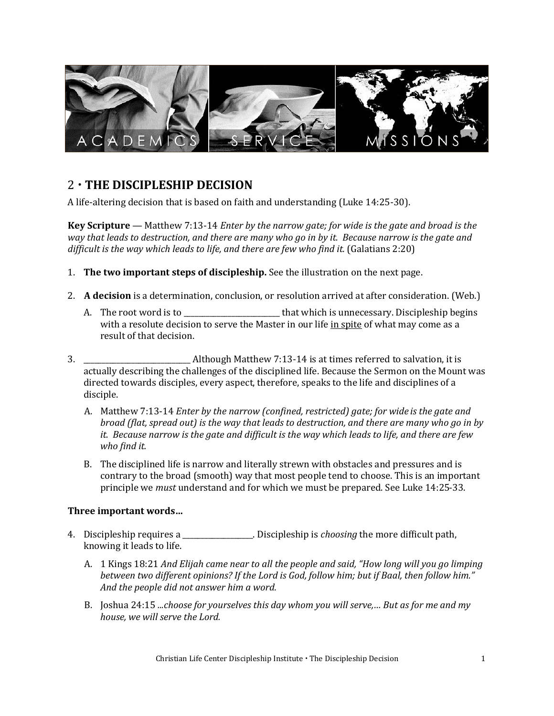

# 2 **THE DISCIPLESHIP DECISION**

A life-altering decision that is based on faith and understanding (Luke 14:25-30).

**Key Scripture** — Matthew 7:13-14 *Enter by the narrow gate; for wide is the gate and broad is the way that leads to destruction, and there are many who go in by it. Because narrow is the gate and difficult is the way which leads to life, and there are few who find it.* (Galatians 2:20)

- 1. **The two important steps of discipleship.** See the illustration on the next page.
- 2. **A decision** is a determination, conclusion, or resolution arrived at after consideration. (Web.)
	- A. The root word is to \_\_\_\_\_\_\_\_\_\_\_\_\_\_\_\_\_\_\_\_\_\_\_\_\_\_ that which is unnecessary. Discipleship begins with a resolute decision to serve the Master in our life in spite of what may come as a result of that decision.
- 3. \_\_\_\_\_\_\_\_\_\_\_\_\_\_\_\_\_\_\_\_\_\_\_\_\_\_\_\_\_ Although Matthew 7:13-14 is at times referred to salvation, it is actually describing the challenges of the disciplined life. Because the Sermon on the Mount was directed towards disciples, every aspect, therefore, speaks to the life and disciplines of a disciple.
	- A. Matthew 7:13-14 *Enter by the narrow (confined, restricted) gate; for wide is the gate and broad (flat, spread out) is the way that leads to destruction, and there are many who go in by it. Because narrow is the gate and difficult is the way which leads to life, and there are few who find it.*
	- B. The disciplined life is narrow and literally strewn with obstacles and pressures and is contrary to the broad (smooth) way that most people tend to choose. This is an important principle we *must* understand and for which we must be prepared. See Luke 14:25-33.

### **Three important words…**

- 4. Discipleship requires a \_\_\_\_\_\_\_\_\_\_\_\_\_\_\_\_\_\_\_. Discipleship is *choosing* the more difficult path, knowing it leads to life.
	- A. 1 Kings 18:21 *And Elijah came near to all the people and said, "How long will you go limping between two different opinions? If the Lord is God, follow him; but if Baal, then follow him." And the people did not answer him a word.*
	- B. Joshua 24:15 *...choose for yourselves this day whom you will serve,… But as for me and my house, we will serve the Lord.*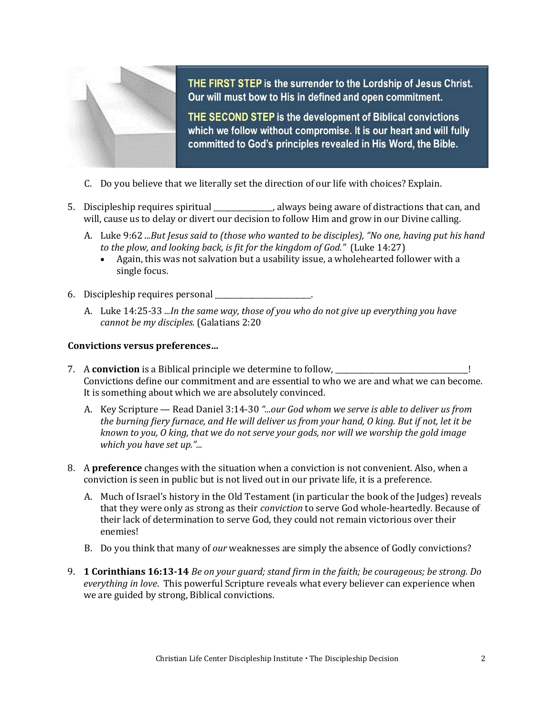

THE FIRST STEP is the surrender to the Lordship of Jesus Christ. Our will must bow to His in defined and open commitment.

THE SECOND STEP is the development of Biblical convictions which we follow without compromise. It is our heart and will fully committed to God's principles revealed in His Word, the Bible.

- C. Do you believe that we literally set the direction of our life with choices? Explain.
- 5. Discipleship requires spiritual  $\qquad \qquad$ , always being aware of distractions that can, and will, cause us to delay or divert our decision to follow Him and grow in our Divine calling.
	- A. Luke 9:62 *...But Jesus said to (those who wanted to be disciples), "No one, having put his hand to the plow, and looking back, is fit for the kingdom of God."* (Luke 14:27)
		- Again, this was not salvation but a usability issue, a wholehearted follower with a single focus.
- 6. Discipleship requires personal \_\_\_\_\_\_\_\_\_\_\_\_\_\_\_\_\_\_\_\_\_\_\_\_\_\_.
	- A. Luke 14:25-33 *...In the same way, those of you who do not give up everything you have cannot be my disciples.* (Galatians 2:20

#### **Convictions versus preferences…**

- 7. A **conviction** is a Biblical principle we determine to follow, \_\_\_\_\_\_\_\_\_\_\_\_\_\_\_\_\_\_\_\_\_\_\_\_\_\_\_\_\_\_\_\_\_\_\_\_! Convictions define our commitment and are essential to who we are and what we can become. It is something about which we are absolutely convinced.
	- A. Key Scripture Read Daniel 3:14-30 *"...our God whom we serve is able to deliver us from the burning fiery furnace, and He will deliver us from your hand, O king. But if not, let it be known to you, O king, that we do not serve your gods, nor will we worship the gold image which you have set up."...*
- 8. A **preference** changes with the situation when a conviction is not convenient. Also, when a conviction is seen in public but is not lived out in our private life, it is a preference.
	- A. Much of Israel's history in the Old Testament (in particular the book of the Judges) reveals that they were only as strong as their *conviction* to serve God whole-heartedly. Because of their lack of determination to serve God, they could not remain victorious over their enemies!
	- B. Do you think that many of *our* weaknesses are simply the absence of Godly convictions?
- 9. **1 Corinthians 16:13-14** *Be on your guard; stand firm in the faith; be courageous; be strong. Do everything in love*. This powerful Scripture reveals what every believer can experience when we are guided by strong, Biblical convictions.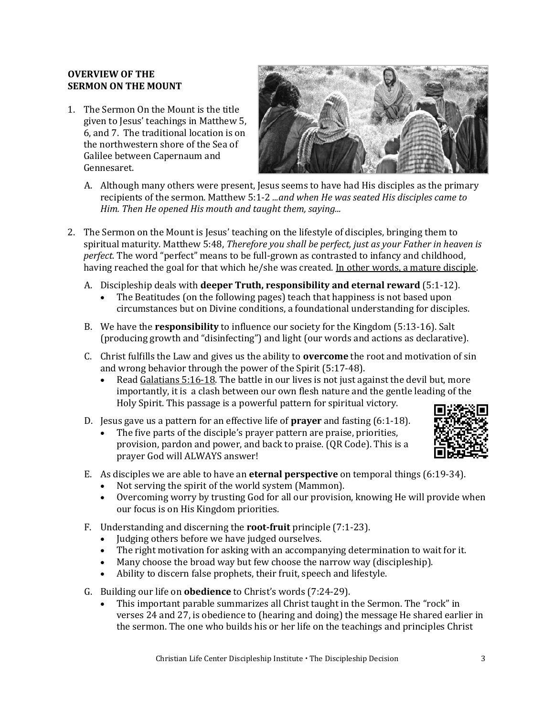#### **OVERVIEW OF THE SERMON ON THE MOUNT**

1. The Sermon On the Mount is the title given to Jesus' teachings in Matthew 5, 6, and 7. The traditional location is on the northwestern shore of the Sea of Galilee between Capernaum and Gennesaret.



- A. Although many others were present, Jesus seems to have had His disciples as the primary recipients of the sermon. Matthew 5:1-2 *...and when He was seated His disciples came to Him. Then He opened His mouth and taught them, saying...*
- 2. The Sermon on the Mount is Jesus' teaching on the lifestyle of disciples, bringing them to spiritual maturity. Matthew 5:48, *Therefore you shall be perfect, just as your Father in heaven is perfect.* The word "perfect" means to be full-grown as contrasted to infancy and childhood, having reached the goal for that which he/she was created. In other words, a mature disciple.
	- A. Discipleship deals with **deeper Truth, responsibility and eternal reward** (5:1-12).
		- The Beatitudes (on the following pages) teach that happiness is not based upon circumstances but on Divine conditions, a foundational understanding for disciples.
	- B. We have the **responsibility** to influence our society for the Kingdom (5:13-16). Salt (producing growth and "disinfecting") and light (our words and actions as declarative).
	- C. Christ fulfills the Law and gives us the ability to **overcome** the root and motivation of sin and wrong behavior through the power of the Spirit (5:17-48).
		- Read Galatians 5:16-18. The battle in our lives is not just against the devil but, more importantly, it is a clash between our own flesh nature and the gentle leading of the Holy Spirit. This passage is a powerful pattern for spiritual victory.
	- D. Jesus gave us a pattern for an effective life of **prayer** and fasting (6:1-18).
		- The five parts of the disciple's prayer pattern are praise, priorities, provision, pardon and power, and back to praise. (QR Code). This is a prayer God will ALWAYS answer!



- E. As disciples we are able to have an **eternal perspective** on temporal things (6:19-34).
	- Not serving the spirit of the world system (Mammon).
	- Overcoming worry by trusting God for all our provision, knowing He will provide when our focus is on His Kingdom priorities.
- F. Understanding and discerning the **root-fruit** principle (7:1-23).
	- Judging others before we have judged ourselves.
	- The right motivation for asking with an accompanying determination to wait for it.
	- Many choose the broad way but few choose the narrow way (discipleship).
	- Ability to discern false prophets, their fruit, speech and lifestyle.
- G. Building our life on **obedience** to Christ's words (7:24-29).
	- This important parable summarizes all Christ taught in the Sermon. The "rock" in verses 24 and 27, is obedience to (hearing and doing) the message He shared earlier in the sermon. The one who builds his or her life on the teachings and principles Christ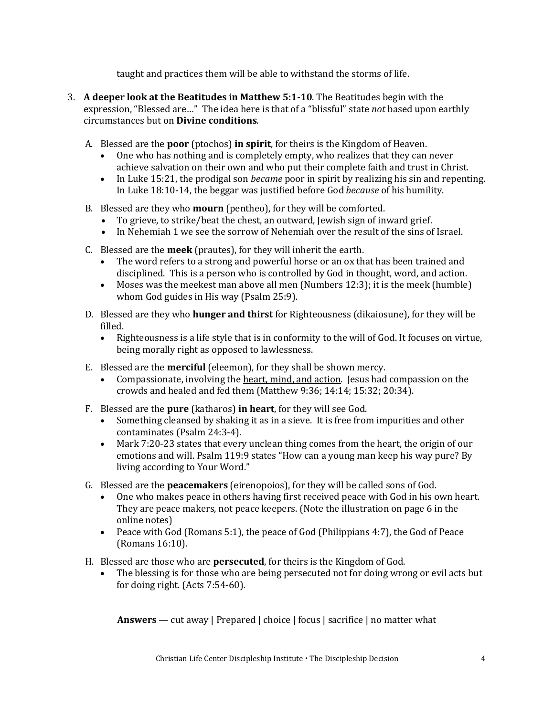taught and practices them will be able to withstand the storms of life.

- 3. **A deeper look at the Beatitudes in Matthew 5:1-10**. The Beatitudes begin with the expression, "Blessed are…" The idea here is that of a "blissful" state *not* based upon earthly circumstances but on **Divine conditions**.
	- A. Blessed are the **poor** (ptochos) **in spirit**, for theirs is the Kingdom of Heaven.
		- One who has nothing and is completely empty, who realizes that they can never achieve salvation on their own and who put their complete faith and trust in Christ.
		- In Luke 15:21, the prodigal son *became* poor in spirit by realizing his sin and repenting. In Luke 18:10-14, the beggar was justified before God *because* of his humility.
	- B. Blessed are they who **mourn** (pentheo), for they will be comforted.
		- To grieve, to strike/beat the chest, an outward, Jewish sign of inward grief.
		- In Nehemiah 1 we see the sorrow of Nehemiah over the result of the sins of Israel.
	- C. Blessed are the **meek** (prautes), for they will inherit the earth.
		- The word refers to a strong and powerful horse or an ox that has been trained and disciplined. This is a person who is controlled by God in thought, word, and action.
		- Moses was the meekest man above all men (Numbers 12:3); it is the meek (humble) whom God guides in His way (Psalm 25:9).
	- D. Blessed are they who **hunger and thirst** for Righteousness (dikaiosune), for they will be filled.
		- Righteousness is a life style that is in conformity to the will of God. It focuses on virtue, being morally right as opposed to lawlessness.
	- E. Blessed are the **merciful** (eleemon), for they shall be shown mercy.
		- Compassionate, involving the heart, mind, and action. Jesus had compassion on the crowds and healed and fed them (Matthew 9:36; 14:14; 15:32; 20:34).
	- F. Blessed are the **pure** (katharos) **in heart**, for they will see God.
		- Something cleansed by shaking it as in a sieve. It is free from impurities and other contaminates (Psalm 24:3-4).
		- Mark 7:20-23 states that every unclean thing comes from the heart, the origin of our emotions and will. Psalm 119:9 states "How can a young man keep his way pure? By living according to Your Word."
	- G. Blessed are the **peacemakers** (eirenopoios), for they will be called sons of God.
		- One who makes peace in others having first received peace with God in his own heart. They are peace makers, not peace keepers. (Note the illustration on page 6 in the online notes)
		- Peace with God (Romans 5:1), the peace of God (Philippians 4:7), the God of Peace (Romans 16:10).
	- H. Blessed are those who are **persecuted**, for theirs is the Kingdom of God.
		- The blessing is for those who are being persecuted not for doing wrong or evil acts but for doing right. (Acts 7:54-60).

**Answers** — cut away | Prepared | choice | focus | sacrifice | no matter what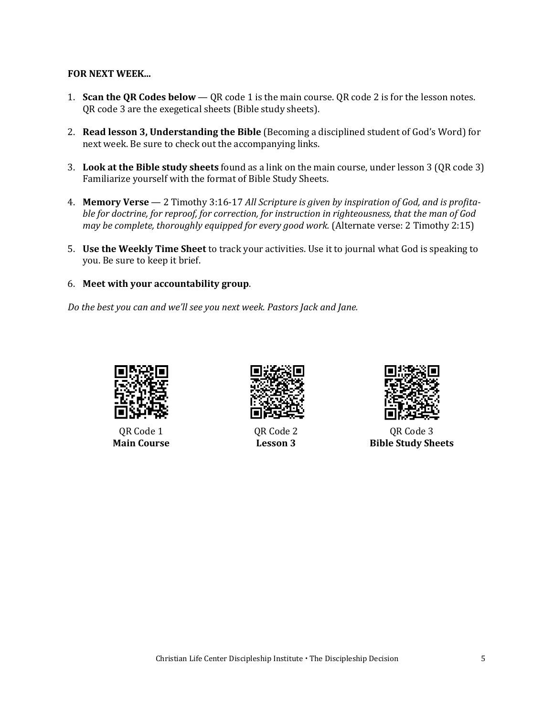#### **FOR NEXT WEEK...**

- 1. **Scan the QR Codes below** QR code 1 is the main course. QR code 2 is for the lesson notes. QR code 3 are the exegetical sheets (Bible study sheets).
- 2. **Read lesson 3, Understanding the Bible** (Becoming a disciplined student of God's Word) for next week. Be sure to check out the accompanying links.
- 3. **Look at the Bible study sheets** found as a link on the main course, under lesson 3 (QR code 3) Familiarize yourself with the format of Bible Study Sheets.
- 4. **Memory Verse** 2 Timothy 3:16-17 *All Scripture is given by inspiration of God, and is profitable for doctrine, for reproof, for correction, for instruction in righteousness, that the man of God may be complete, thoroughly equipped for every good work.* (Alternate verse: 2 Timothy 2:15)
- 5. **Use the Weekly Time Sheet** to track your activities. Use it to journal what God is speaking to you. Be sure to keep it brief.
- 6. **Meet with your accountability group**.

*Do the best you can and we'll see you next week. Pastors Jack and Jane.*



QR Code 1 **Main Course**



QR Code 2 **Lesson 3**



QR Code 3 **Bible Study Sheets**